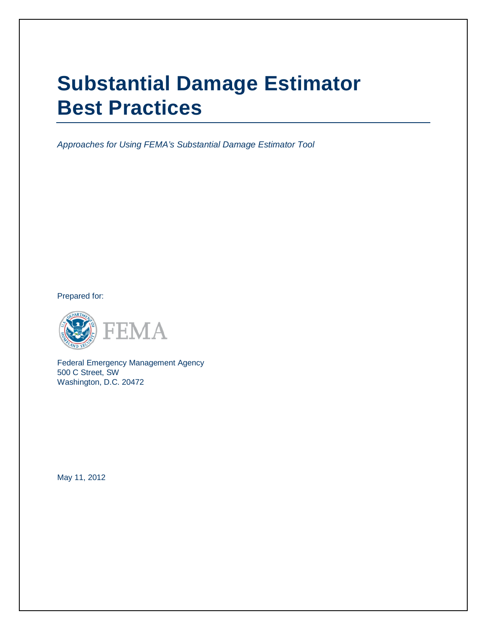# **Substantial Damage Estimator Best Practices**

Approaches for Using FEMA's Substantial Damage Estimator Tool

Prepared for:



 Federal Emergency Management Agency 500 C Street, SW Washington, D.C. 20472

May 11, 2012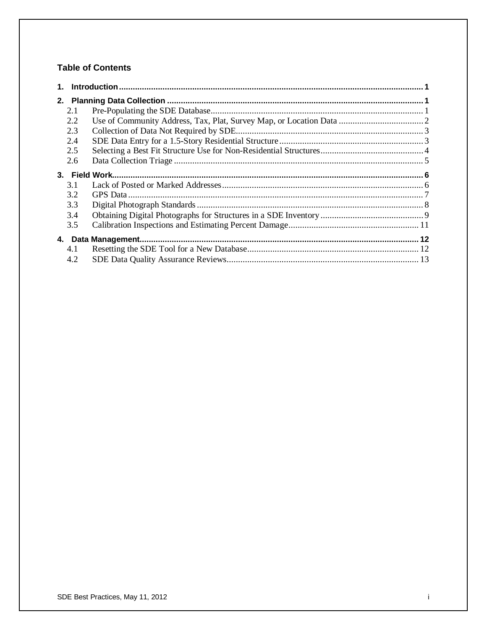# **Table of Contents**

|    | 2.1 |  |  |
|----|-----|--|--|
|    | 2.2 |  |  |
|    | 2.3 |  |  |
|    | 2.4 |  |  |
|    | 2.5 |  |  |
|    | 2.6 |  |  |
|    |     |  |  |
|    | 3.1 |  |  |
|    |     |  |  |
|    | 3.2 |  |  |
|    | 3.3 |  |  |
|    | 3.4 |  |  |
|    | 3.5 |  |  |
| 4. |     |  |  |
|    | 4.1 |  |  |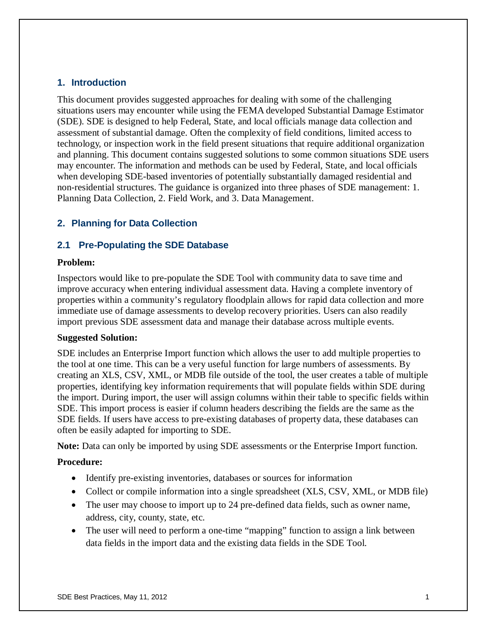## **1. Introduction**

 This document provides suggested approaches for dealing with some of the challenging situations users may encounter while using the FEMA developed Substantial Damage Estimator (SDE). SDE is designed to help Federal, State, and local officials manage data collection and assessment of substantial damage. Often the complexity of field conditions, limited access to technology, or inspection work in the field present situations that require additional organization and planning. This document contains suggested solutions to some common situations SDE users may encounter. The information and methods can be used by Federal, State, and local officials when developing SDE-based inventories of potentially substantially damaged residential and non-residential structures. The guidance is organized into three phases of SDE management: 1. Planning Data Collection, 2. Field Work, and 3. Data Management.

# **2. Planning for Data Collection**

# **2.1 Pre-Populating the SDE Database**

#### **Problem:**

 Inspectors would like to pre-populate the SDE Tool with community data to save time and improve accuracy when entering individual assessment data. Having a complete inventory of properties within a community's regulatory floodplain allows for rapid data collection and more immediate use of damage assessments to develop recovery priorities. Users can also readily import previous SDE assessment data and manage their database across multiple events.

## **Suggested Solution:**

 SDE includes an Enterprise Import function which allows the user to add multiple properties to the tool at one time. This can be a very useful function for large numbers of assessments. By creating an XLS, CSV, XML, or MDB file outside of the tool, the user creates a table of multiple properties, identifying key information requirements that will populate fields within SDE during the import. During import, the user will assign columns within their table to specific fields within SDE. This import process is easier if column headers describing the fields are the same as the SDE fields. If users have access to pre-existing databases of property data, these databases can often be easily adapted for importing to SDE.

**Note:** Data can only be imported by using SDE assessments or the Enterprise Import function.

- • Identify pre-existing inventories, databases or sources for information
- Collect or compile information into a single spreadsheet (XLS, CSV, XML, or MDB file)
- The user may choose to import up to 24 pre-defined data fields, such as owner name, address, city, county, state, etc.
- The user will need to perform a one-time "mapping" function to assign a link between data fields in the import data and the existing data fields in the SDE Tool.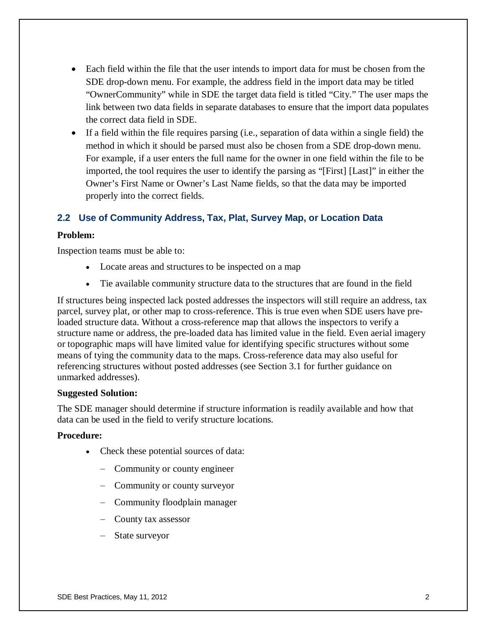- • Each field within the file that the user intends to import data for must be chosen from the SDE drop-down menu. For example, the address field in the import data may be titled "OwnerCommunity" while in SDE the target data field is titled "City." The user maps the link between two data fields in separate databases to ensure that the import data populates the correct data field in SDE.
- • If a field within the file requires parsing (i.e., separation of data within a single field) the method in which it should be parsed must also be chosen from a SDE drop-down menu. For example, if a user enters the full name for the owner in one field within the file to be imported, the tool requires the user to identify the parsing as "[First] [Last]" in either the Owner's First Name or Owner's Last Name fields, so that the data may be imported properly into the correct fields.

# **2.2 Use of Community Address, Tax, Plat, Survey Map, or Location Data**

## **Problem:**

Inspection teams must be able to:

- • Locate areas and structures to be inspected on a map
- • Tie available community structure data to the structures that are found in the field

 If structures being inspected lack posted addresses the inspectors will still require an address, tax parcel, survey plat, or other map to cross-reference. This is true even when SDE users have pre- loaded structure data. Without a cross-reference map that allows the inspectors to verify a structure name or address, the pre-loaded data has limited value in the field. Even aerial imagery or topographic maps will have limited value for identifying specific structures without some means of tying the community data to the maps. Cross-reference data may also useful for referencing structures without posted addresses (see Section 3.1 for further guidance on unmarked addresses).

#### **Suggested Solution:**

 The SDE manager should determine if structure information is readily available and how that data can be used in the field to verify structure locations.

- • Check these potential sources of data:
	- − Community or county engineer
	- − Community or county surveyor
	- − Community floodplain manager
	- − County tax assessor
	- − State surveyor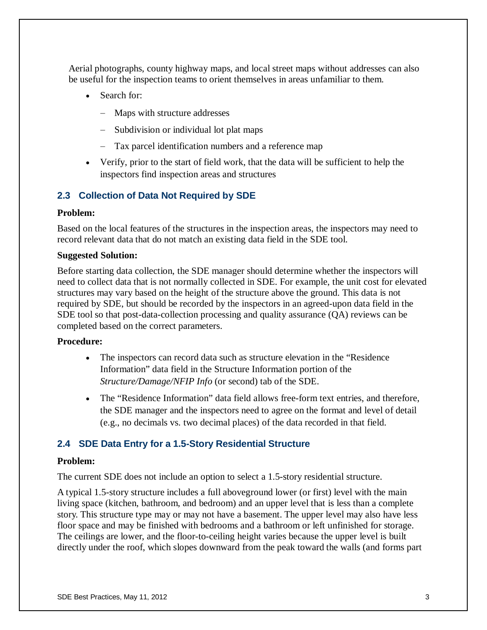Aerial photographs, county highway maps, and local street maps without addresses can also be useful for the inspection teams to orient themselves in areas unfamiliar to them.

- Search for:
	- − Maps with structure addresses
	- − Subdivision or individual lot plat maps
	- − Tax parcel identification numbers and a reference map
- • Verify, prior to the start of field work, that the data will be sufficient to help the inspectors find inspection areas and structures

# **2.3 Collection of Data Not Required by SDE**

## **Problem:**

 Based on the local features of the structures in the inspection areas, the inspectors may need to record relevant data that do not match an existing data field in the SDE tool.

## **Suggested Solution:**

 Before starting data collection, the SDE manager should determine whether the inspectors will need to collect data that is not normally collected in SDE. For example, the unit cost for elevated structures may vary based on the height of the structure above the ground. This data is not required by SDE, but should be recorded by the inspectors in an agreed-upon data field in the SDE tool so that post-data-collection processing and quality assurance (QA) reviews can be completed based on the correct parameters.

## **Procedure:**

- The inspectors can record data such as structure elevation in the "Residence" Information" data field in the Structure Information portion of the *Structure/Damage/NFIP Info* (or second) tab of the SDE.
- The "Residence Information" data field allows free-form text entries, and therefore, the SDE manager and the inspectors need to agree on the format and level of detail (e.g., no decimals vs. two decimal places) of the data recorded in that field.

# **2.4 SDE Data Entry for a 1.5-Story Residential Structure**

## **Problem:**

The current SDE does not include an option to select a 1.5-story residential structure.

 A typical 1.5-story structure includes a full aboveground lower (or first) level with the main living space (kitchen, bathroom, and bedroom) and an upper level that is less than a complete story. This structure type may or may not have a basement. The upper level may also have less floor space and may be finished with bedrooms and a bathroom or left unfinished for storage. The ceilings are lower, and the floor-to-ceiling height varies because the upper level is built directly under the roof, which slopes downward from the peak toward the walls (and forms part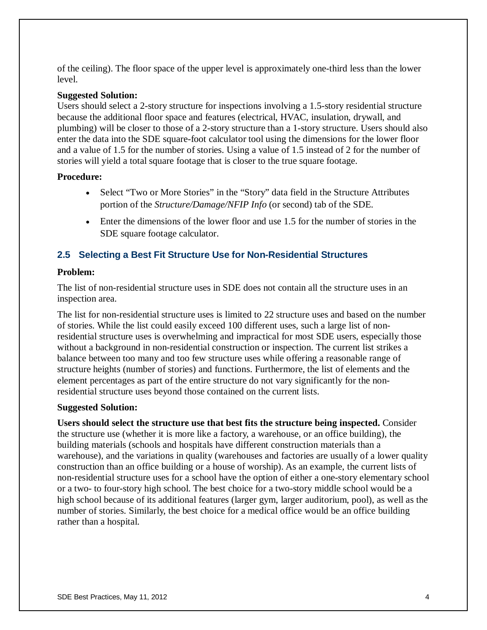of the ceiling). The floor space of the upper level is approximately one-third less than the lower level.

## **Suggested Solution:**

 Users should select a 2-story structure for inspections involving a 1.5-story residential structure because the additional floor space and features (electrical, HVAC, insulation, drywall, and plumbing) will be closer to those of a 2-story structure than a 1-story structure. Users should also enter the data into the SDE square-foot calculator tool using the dimensions for the lower floor and a value of 1.5 for the number of stories. Using a value of 1.5 instead of 2 for the number of stories will yield a total square footage that is closer to the true square footage.

## **Procedure:**

- Select "Two or More Stories" in the "Story" data field in the Structure Attributes portion of the *Structure/Damage/NFIP Info* (or second) tab of the SDE.
- Enter the dimensions of the lower floor and use 1.5 for the number of stories in the SDE square footage calculator.

# **2.5 Selecting a Best Fit Structure Use for Non-Residential Structures**

## **Problem:**

 The list of non-residential structure uses in SDE does not contain all the structure uses in an inspection area.

 The list for non-residential structure uses is limited to 22 structure uses and based on the number of stories. While the list could easily exceed 100 different uses, such a large list of non- residential structure uses is overwhelming and impractical for most SDE users, especially those without a background in non-residential construction or inspection. The current list strikes a balance between too many and too few structure uses while offering a reasonable range of structure heights (number of stories) and functions. Furthermore, the list of elements and the element percentages as part of the entire structure do not vary significantly for the non-residential structure uses beyond those contained on the current lists.

## **Suggested Solution:**

 **Users should select the structure use that best fits the structure being inspected.** Consider the structure use (whether it is more like a factory, a warehouse, or an office building), the building materials (schools and hospitals have different construction materials than a warehouse), and the variations in quality (warehouses and factories are usually of a lower quality construction than an office building or a house of worship). As an example, the current lists of non-residential structure uses for a school have the option of either a one-story elementary school or a two- to four-story high school. The best choice for a two-story middle school would be a high school because of its additional features (larger gym, larger auditorium, pool), as well as the number of stories. Similarly, the best choice for a medical office would be an office building rather than a hospital.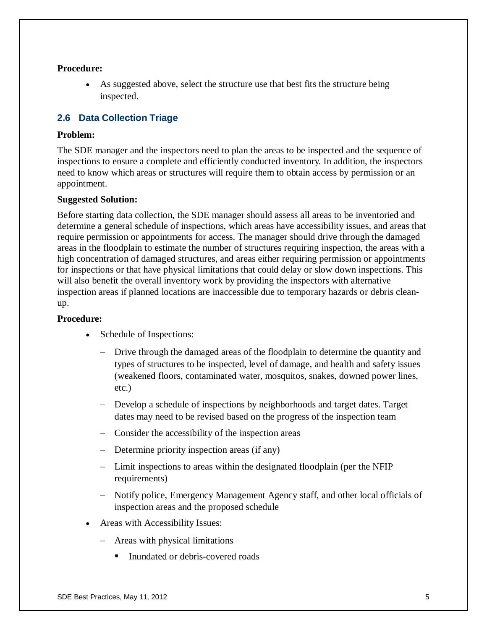## **Procedure:**

 • As suggested above, select the structure use that best fits the structure being inspected.

## **2.6 Data Collection Triage**

#### **Problem:**

 The SDE manager and the inspectors need to plan the areas to be inspected and the sequence of inspections to ensure a complete and efficiently conducted inventory. In addition, the inspectors need to know which areas or structures will require them to obtain access by permission or an appointment.

## **Suggested Solution:**

 Before starting data collection, the SDE manager should assess all areas to be inventoried and determine a general schedule of inspections, which areas have accessibility issues, and areas that require permission or appointments for access. The manager should drive through the damaged areas in the floodplain to estimate the number of structures requiring inspection, the areas with a high concentration of damaged structures, and areas either requiring permission or appointments for inspections or that have physical limitations that could delay or slow down inspections. This will also benefit the overall inventory work by providing the inspectors with alternative inspection areas if planned locations are inaccessible due to temporary hazards or debris cleanup.

- Schedule of Inspections:
	- − Drive through the damaged areas of the floodplain to determine the quantity and types of structures to be inspected, level of damage, and health and safety issues (weakened floors, contaminated water, mosquitos, snakes, downed power lines, etc.)
	- − Develop a schedule of inspections by neighborhoods and target dates. Target dates may need to be revised based on the progress of the inspection team
	- − Consider the accessibility of the inspection areas
	- − Determine priority inspection areas (if any)
	- − Limit inspections to areas within the designated floodplain (per the NFIP requirements)
	- − Notify police, Emergency Management Agency staff, and other local officials of inspection areas and the proposed schedule
- • Areas with Accessibility Issues:
	- − Areas with physical limitations
		- � Inundated or debris-covered roads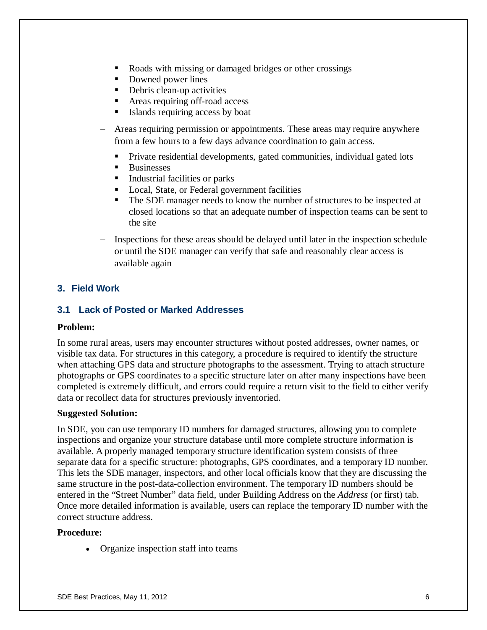- Roads with missing or damaged bridges or other crossings
- Downed power lines
- **•** Debris clean-up activities
- $\blacksquare$  Areas requiring off-road access
- � Islands requiring access by boat
- − Areas requiring permission or appointments. These areas may require anywhere from a few hours to a few days advance coordination to gain access.
	- Private residential developments, gated communities, individual gated lots �
	- � Businesses
	- Industrial facilities or parks **A**
	- � Local, State, or Federal government facilities
	- � The SDE manager needs to know the number of structures to be inspected at closed locations so that an adequate number of inspection teams can be sent to the site
- − Inspections for these areas should be delayed until later in the inspection schedule or until the SDE manager can verify that safe and reasonably clear access is available again

## **3. Field Work**

## **3.1 Lack of Posted or Marked Addresses**

#### **Problem:**

 In some rural areas, users may encounter structures without posted addresses, owner names, or visible tax data. For structures in this category, a procedure is required to identify the structure when attaching GPS data and structure photographs to the assessment. Trying to attach structure photographs or GPS coordinates to a specific structure later on after many inspections have been completed is extremely difficult, and errors could require a return visit to the field to either verify data or recollect data for structures previously inventoried.

#### **Suggested Solution:**

 In SDE, you can use temporary ID numbers for damaged structures, allowing you to complete inspections and organize your structure database until more complete structure information is available. A properly managed temporary structure identification system consists of three separate data for a specific structure: photographs, GPS coordinates, and a temporary ID number. This lets the SDE manager, inspectors, and other local officials know that they are discussing the same structure in the post-data-collection environment. The temporary ID numbers should be entered in the "Street Number" data field, under Building Address on the *Address* (or first) tab. Once more detailed information is available, users can replace the temporary ID number with the correct structure address.

#### **Procedure:**

• Organize inspection staff into teams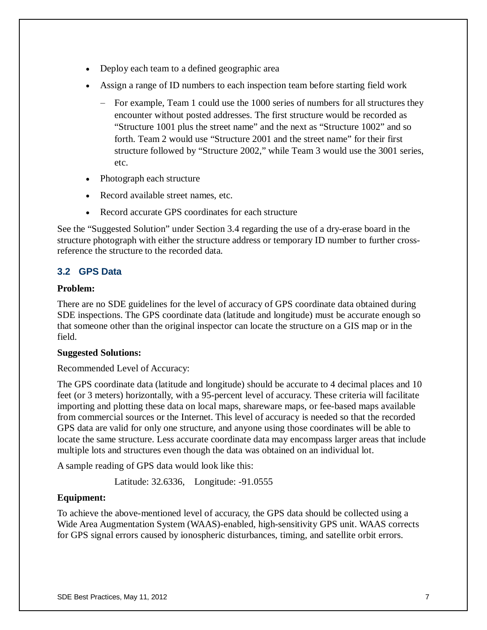- • Deploy each team to a defined geographic area
- • Assign a range of ID numbers to each inspection team before starting field work
	- − For example, Team 1 could use the 1000 series of numbers for all structures they encounter without posted addresses. The first structure would be recorded as "Structure 1001 plus the street name" and the next as "Structure 1002" and so forth. Team 2 would use "Structure 2001 and the street name" for their first structure followed by "Structure 2002," while Team 3 would use the 3001 series, etc.
- Photograph each structure
- • Record available street names, etc.
- • Record accurate GPS coordinates for each structure

 See the "Suggested Solution" under Section 3.4 regarding the use of a dry-erase board in the structure photograph with either the structure address or temporary ID number to further cross-reference the structure to the recorded data.

# **3.2 GPS Data**

## **Problem:**

 There are no SDE guidelines for the level of accuracy of GPS coordinate data obtained during SDE inspections. The GPS coordinate data (latitude and longitude) must be accurate enough so that someone other than the original inspector can locate the structure on a GIS map or in the field.

## **Suggested Solutions:**

## Recommended Level of Accuracy:

 The GPS coordinate data (latitude and longitude) should be accurate to 4 decimal places and 10 feet (or 3 meters) horizontally, with a 95-percent level of accuracy. These criteria will facilitate importing and plotting these data on local maps, shareware maps, or fee-based maps available from commercial sources or the Internet. This level of accuracy is needed so that the recorded GPS data are valid for only one structure, and anyone using those coordinates will be able to locate the same structure. Less accurate coordinate data may encompass larger areas that include multiple lots and structures even though the data was obtained on an individual lot.

A sample reading of GPS data would look like this:

Latitude: 32.6336, Longitude: -91.0555

# **Equipment:**

 To achieve the above-mentioned level of accuracy, the GPS data should be collected using a Wide Area Augmentation System (WAAS)-enabled, high-sensitivity GPS unit. WAAS corrects for GPS signal errors caused by ionospheric disturbances, timing, and satellite orbit errors.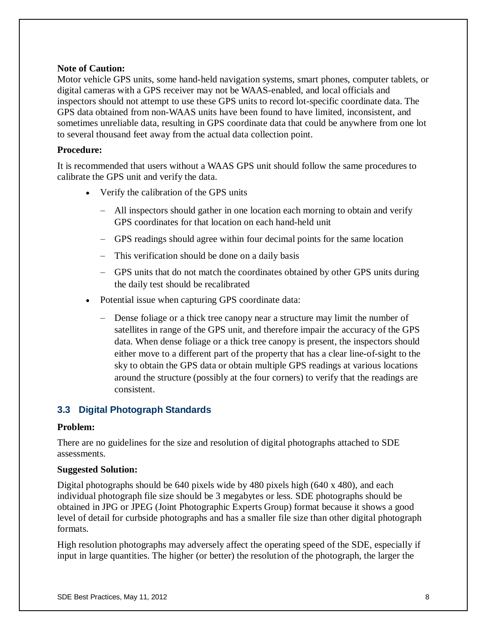## **Note of Caution:**

 Motor vehicle GPS units, some hand-held navigation systems, smart phones, computer tablets, or digital cameras with a GPS receiver may not be WAAS-enabled, and local officials and inspectors should not attempt to use these GPS units to record lot-specific coordinate data. The GPS data obtained from non-WAAS units have been found to have limited, inconsistent, and sometimes unreliable data, resulting in GPS coordinate data that could be anywhere from one lot to several thousand feet away from the actual data collection point.

## **Procedure:**

 It is recommended that users without a WAAS GPS unit should follow the same procedures to calibrate the GPS unit and verify the data.

- • Verify the calibration of the GPS units
	- − All inspectors should gather in one location each morning to obtain and verify GPS coordinates for that location on each hand-held unit
	- − GPS readings should agree within four decimal points for the same location
	- − This verification should be done on a daily basis
	- − GPS units that do not match the coordinates obtained by other GPS units during the daily test should be recalibrated
- • Potential issue when capturing GPS coordinate data:
	- − Dense foliage or a thick tree canopy near a structure may limit the number of satellites in range of the GPS unit, and therefore impair the accuracy of the GPS data. When dense foliage or a thick tree canopy is present, the inspectors should either move to a different part of the property that has a clear line-of-sight to the sky to obtain the GPS data or obtain multiple GPS readings at various locations around the structure (possibly at the four corners) to verify that the readings are consistent.

# **3.3 Digital Photograph Standards**

## **Problem:**

 There are no guidelines for the size and resolution of digital photographs attached to SDE assessments.

## **Suggested Solution:**

 Digital photographs should be 640 pixels wide by 480 pixels high (640 x 480), and each individual photograph file size should be 3 megabytes or less. SDE photographs should be obtained in JPG or JPEG (Joint Photographic Experts Group) format because it shows a good level of detail for curbside photographs and has a smaller file size than other digital photograph formats.

 High resolution photographs may adversely affect the operating speed of the SDE, especially if input in large quantities. The higher (or better) the resolution of the photograph, the larger the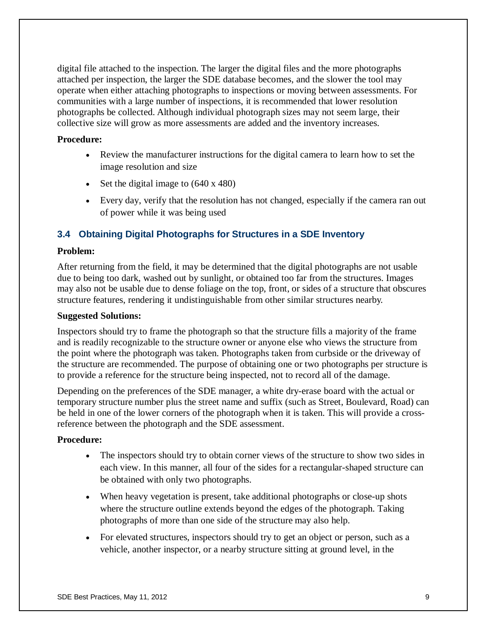digital file attached to the inspection. The larger the digital files and the more photographs attached per inspection, the larger the SDE database becomes, and the slower the tool may operate when either attaching photographs to inspections or moving between assessments. For communities with a large number of inspections, it is recommended that lower resolution photographs be collected. Although individual photograph sizes may not seem large, their collective size will grow as more assessments are added and the inventory increases.

## **Procedure:**

- • Review the manufacturer instructions for the digital camera to learn how to set the image resolution and size
- Set the digital image to  $(640 \times 480)$
- • Every day, verify that the resolution has not changed, especially if the camera ran out of power while it was being used

# **3.4 Obtaining Digital Photographs for Structures in a SDE Inventory**

#### **Problem:**

 After returning from the field, it may be determined that the digital photographs are not usable due to being too dark, washed out by sunlight, or obtained too far from the structures. Images may also not be usable due to dense foliage on the top, front, or sides of a structure that obscures structure features, rendering it undistinguishable from other similar structures nearby.

## **Suggested Solutions:**

 Inspectors should try to frame the photograph so that the structure fills a majority of the frame and is readily recognizable to the structure owner or anyone else who views the structure from the point where the photograph was taken. Photographs taken from curbside or the driveway of the structure are recommended. The purpose of obtaining one or two photographs per structure is to provide a reference for the structure being inspected, not to record all of the damage.

 Depending on the preferences of the SDE manager, a white dry-erase board with the actual or temporary structure number plus the street name and suffix (such as Street, Boulevard, Road) can be held in one of the lower corners of the photograph when it is taken. This will provide a cross-reference between the photograph and the SDE assessment.

- The inspectors should try to obtain corner views of the structure to show two sides in each view. In this manner, all four of the sides for a rectangular-shaped structure can be obtained with only two photographs.
- When heavy vegetation is present, take additional photographs or close-up shots where the structure outline extends beyond the edges of the photograph. Taking photographs of more than one side of the structure may also help.
- For elevated structures, inspectors should try to get an object or person, such as a vehicle, another inspector, or a nearby structure sitting at ground level, in the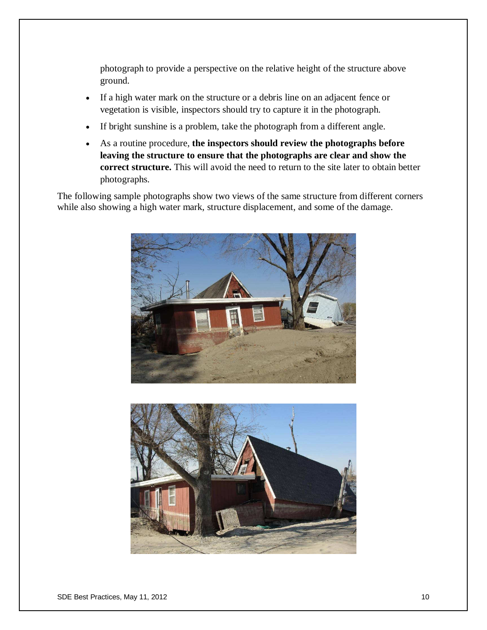photograph to provide a perspective on the relative height of the structure above ground.

- • If a high water mark on the structure or a debris line on an adjacent fence or vegetation is visible, inspectors should try to capture it in the photograph.
- If bright sunshine is a problem, take the photograph from a different angle.
- • As a routine procedure, **the inspectors should review the photographs before leaving the structure to ensure that the photographs are clear and show the correct structure.** This will avoid the need to return to the site later to obtain better photographs.

 The following sample photographs show two views of the same structure from different corners while also showing a high water mark, structure displacement, and some of the damage.



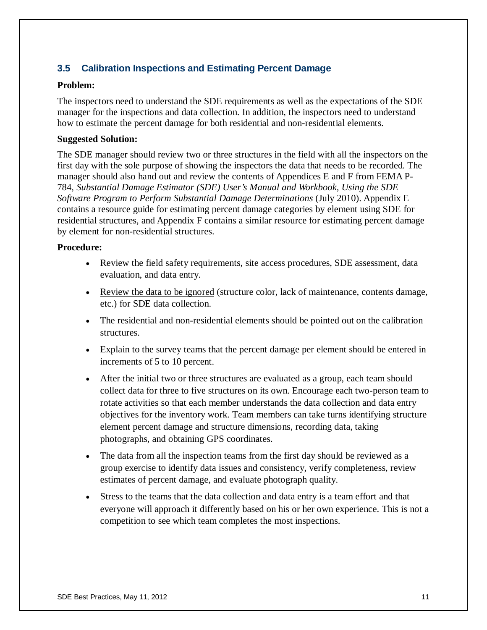# **3.5 Calibration Inspections and Estimating Percent Damage**

## **Problem:**

 The inspectors need to understand the SDE requirements as well as the expectations of the SDE manager for the inspections and data collection. In addition, the inspectors need to understand how to estimate the percent damage for both residential and non-residential elements.

## **Suggested Solution:**

 The SDE manager should review two or three structures in the field with all the inspectors on the first day with the sole purpose of showing the inspectors the data that needs to be recorded. The manager should also hand out and review the contents of Appendices E and F from FEMA P- 784, *Substantial Damage Estimator (SDE) User's Manual and Workbook, Using the SDE Software Program to Perform Substantial Damage Determinations* (July 2010). Appendix E contains a resource guide for estimating percent damage categories by element using SDE for residential structures, and Appendix F contains a similar resource for estimating percent damage by element for non-residential structures.

- • Review the field safety requirements, site access procedures, SDE assessment, data evaluation, and data entry.
- Review the data to be ignored (structure color, lack of maintenance, contents damage, etc.) for SDE data collection.
- The residential and non-residential elements should be pointed out on the calibration structures.
- • Explain to the survey teams that the percent damage per element should be entered in increments of 5 to 10 percent.
- After the initial two or three structures are evaluated as a group, each team should collect data for three to five structures on its own. Encourage each two-person team to rotate activities so that each member understands the data collection and data entry objectives for the inventory work. Team members can take turns identifying structure element percent damage and structure dimensions, recording data, taking photographs, and obtaining GPS coordinates.
- The data from all the inspection teams from the first day should be reviewed as a group exercise to identify data issues and consistency, verify completeness, review estimates of percent damage, and evaluate photograph quality.
- • Stress to the teams that the data collection and data entry is a team effort and that everyone will approach it differently based on his or her own experience. This is not a competition to see which team completes the most inspections.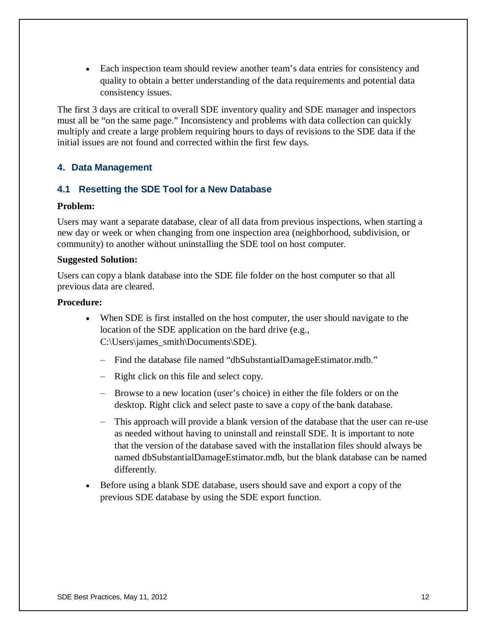• Each inspection team should review another team's data entries for consistency and quality to obtain a better understanding of the data requirements and potential data consistency issues.

 The first 3 days are critical to overall SDE inventory quality and SDE manager and inspectors must all be "on the same page." Inconsistency and problems with data collection can quickly multiply and create a large problem requiring hours to days of revisions to the SDE data if the initial issues are not found and corrected within the first few days.

# **4. Data Management**

## **4.1 Resetting the SDE Tool for a New Database**

#### **Problem:**

 Users may want a separate database, clear of all data from previous inspections, when starting a new day or week or when changing from one inspection area (neighborhood, subdivision, or community) to another without uninstalling the SDE tool on host computer.

#### **Suggested Solution:**

 Users can copy a blank database into the SDE file folder on the host computer so that all previous data are cleared.

- When SDE is first installed on the host computer, the user should navigate to the location of the SDE application on the hard drive (e.g., C:\Users\james\_smith\Documents\SDE).
	- − Find the database file named "dbSubstantialDamageEstimator.mdb."
	- − Right click on this file and select copy.
	- − Browse to a new location (user's choice) in either the file folders or on the desktop. Right click and select paste to save a copy of the bank database.
	- − This approach will provide a blank version of the database that the user can re-use as needed without having to uninstall and reinstall SDE. It is important to note that the version of the database saved with the installation files should always be named dbSubstantialDamageEstimator.mdb, but the blank database can be named differently.
- • Before using a blank SDE database, users should save and export a copy of the previous SDE database by using the SDE export function.